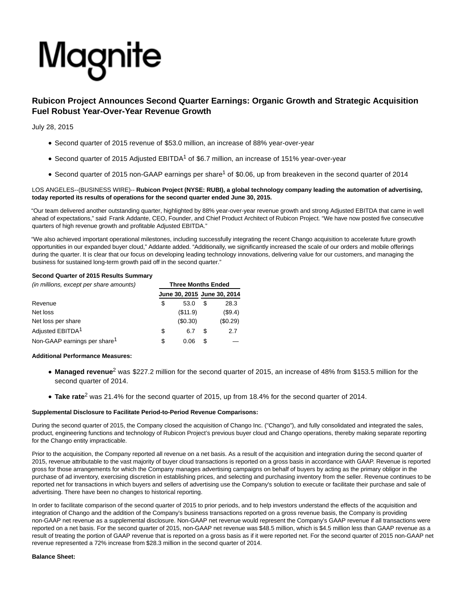# Magnite

# **Rubicon Project Announces Second Quarter Earnings: Organic Growth and Strategic Acquisition Fuel Robust Year-Over-Year Revenue Growth**

## July 28, 2015

- Second quarter of 2015 revenue of \$53.0 million, an increase of 88% year-over-year
- Second quarter of 2015 Adjusted EBITDA<sup>1</sup> of \$6.7 million, an increase of 151% year-over-year
- Second quarter of 2015 non-GAAP earnings per share<sup>1</sup> of \$0.06, up from breakeven in the second quarter of 2014

#### LOS ANGELES--(BUSINESS WIRE)-- **Rubicon Project (NYSE: RUBI), a global technology company leading the automation of advertising, today reported its results of operations for the second quarter ended June 30, 2015.**

"Our team delivered another outstanding quarter, highlighted by 88% year-over-year revenue growth and strong Adjusted EBITDA that came in well ahead of expectations," said Frank Addante, CEO, Founder, and Chief Product Architect of Rubicon Project. "We have now posted five consecutive quarters of high revenue growth and profitable Adjusted EBITDA."

"We also achieved important operational milestones, including successfully integrating the recent Chango acquisition to accelerate future growth opportunities in our expanded buyer cloud," Addante added. "Additionally, we significantly increased the scale of our orders and mobile offerings during the quarter. It is clear that our focus on developing leading technology innovations, delivering value for our customers, and managing the business for sustained long-term growth paid off in the second quarter."

#### **Second Quarter of 2015 Results Summary**

| (in millions, except per share amounts)  |    | <b>Three Months Ended</b>   |   |          |
|------------------------------------------|----|-----------------------------|---|----------|
|                                          |    | June 30, 2015 June 30, 2014 |   |          |
| Revenue                                  | \$ | 53.0                        | S | 28.3     |
| Net loss                                 |    | (\$11.9)                    |   | (\$9.4)  |
| Net loss per share                       |    | (\$0.30)                    |   | (\$0.29) |
| Adjusted EBITDA <sup>1</sup>             | S  | 6.7                         | S | 2.7      |
| Non-GAAP earnings per share <sup>1</sup> | S  | 0.06                        | S |          |

## **Additional Performance Measures:**

- Managed revenue<sup>2</sup> was \$227.2 million for the second quarter of 2015, an increase of 48% from \$153.5 million for the second quarter of 2014.
- Take rate<sup>2</sup> was 21.4% for the second quarter of 2015, up from 18.4% for the second quarter of 2014.

#### **Supplemental Disclosure to Facilitate Period-to-Period Revenue Comparisons:**

During the second quarter of 2015, the Company closed the acquisition of Chango Inc. ("Chango"), and fully consolidated and integrated the sales, product, engineering functions and technology of Rubicon Project's previous buyer cloud and Chango operations, thereby making separate reporting for the Chango entity impracticable.

Prior to the acquisition, the Company reported all revenue on a net basis. As a result of the acquisition and integration during the second quarter of 2015, revenue attributable to the vast majority of buyer cloud transactions is reported on a gross basis in accordance with GAAP. Revenue is reported gross for those arrangements for which the Company manages advertising campaigns on behalf of buyers by acting as the primary obligor in the purchase of ad inventory, exercising discretion in establishing prices, and selecting and purchasing inventory from the seller. Revenue continues to be reported net for transactions in which buyers and sellers of advertising use the Company's solution to execute or facilitate their purchase and sale of advertising. There have been no changes to historical reporting.

In order to facilitate comparison of the second quarter of 2015 to prior periods, and to help investors understand the effects of the acquisition and integration of Chango and the addition of the Company's business transactions reported on a gross revenue basis, the Company is providing non-GAAP net revenue as a supplemental disclosure. Non-GAAP net revenue would represent the Company's GAAP revenue if all transactions were reported on a net basis. For the second quarter of 2015, non-GAAP net revenue was \$48.5 million, which is \$4.5 million less than GAAP revenue as a result of treating the portion of GAAP revenue that is reported on a gross basis as if it were reported net. For the second quarter of 2015 non-GAAP net revenue represented a 72% increase from \$28.3 million in the second quarter of 2014.

#### **Balance Sheet:**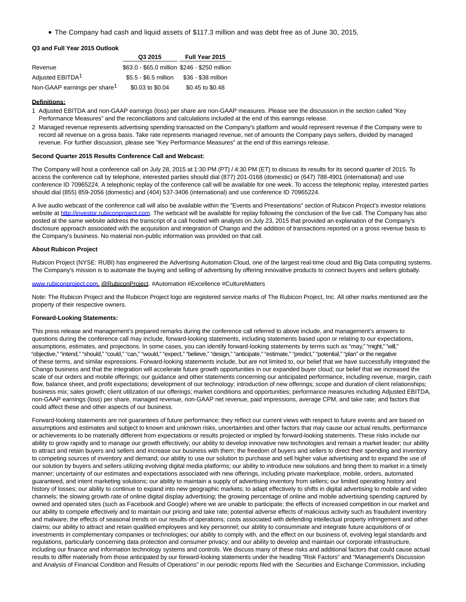The Company had cash and liquid assets of \$117.3 million and was debt free as of June 30, 2015.

#### **Q3 and Full Year 2015 Outlook**

|                                          | Q3 2015                                       | Full Year 2015      |
|------------------------------------------|-----------------------------------------------|---------------------|
| Revenue                                  | \$63.0 - \$65.0 million \$246 - \$250 million |                     |
| Adjusted EBITDA <sup>1</sup>             | \$5.5 - \$6.5 million                         | \$36 - \$38 million |
| Non-GAAP earnings per share <sup>1</sup> | \$0.03 to \$0.04                              | \$0.45 to \$0.48    |

#### **Definitions:**

- 1 Adjusted EBITDA and non-GAAP earnings (loss) per share are non-GAAP measures. Please see the discussion in the section called "Key Performance Measures" and the reconciliations and calculations included at the end of this earnings release.
- 2 Managed revenue represents advertising spending transacted on the Company's platform and would represent revenue if the Company were to record all revenue on a gross basis. Take rate represents managed revenue, net of amounts the Company pays sellers, divided by managed revenue. For further discussion, please see "Key Performance Measures" at the end of this earnings release.

#### **Second Quarter 2015 Results Conference Call and Webcast:**

The Company will host a conference call on July 28, 2015 at 1:30 PM (PT) / 4:30 PM (ET) to discuss its results for its second quarter of 2015. To access the conference call by telephone, interested parties should dial (877) 201-0168 (domestic) or (647) 788-4901 (international) and use conference ID 70965224. A telephonic replay of the conference call will be available for one week. To access the telephonic replay, interested parties should dial (855) 859-2056 (domestic) and (404) 537-3406 (international) and use conference ID 70965224.

A live audio webcast of the conference call will also be available within the "Events and Presentations" section of Rubicon Project's investor relations website at [http://investor.rubiconproject.com.](http://investor.rubiconproject.com/) The webcast will be available for replay following the conclusion of the live call. The Company has also posted at the same website address the transcript of a call hosted with analysts on July 23, 2015 that provided an explanation of the Company's disclosure approach associated with the acquisition and integration of Chango and the addition of transactions reported on a gross revenue basis to the Company's business. No material non-public information was provided on that call.

#### **About Rubicon Project**

Rubicon Project (NYSE: RUBI) has engineered the Advertising Automation Cloud, one of the largest real-time cloud and Big Data computing systems. The Company's mission is to automate the buying and selling of advertising by offering innovative products to connect buyers and sellers globally.

#### [www.rubiconproject.com.](http://www.rubiconproject.com/) @RubiconProject. #Automation #Excellence #CultureMatters

Note: The Rubicon Project and the Rubicon Project logo are registered service marks of The Rubicon Project, Inc. All other marks mentioned are the property of their respective owners.

#### **Forward-Looking Statements:**

This press release and management's prepared remarks during the conference call referred to above include, and management's answers to questions during the conference call may include, forward-looking statements, including statements based upon or relating to our expectations, assumptions, estimates, and projections. In some cases, you can identify forward-looking statements by terms such as "may," "might," "will," "objective," "intend," "should," "could," "can," "would," "expect," "believe," "design," "anticipate," "estimate," "predict," "potential," "plan" or the negative of these terms, and similar expressions. Forward-looking statements include, but are not limited to, our belief that we have successfully integrated the Chango business and that the integration will accelerate future growth opportunities in our expanded buyer cloud; our belief that we increased the scale of our orders and mobile offerings; our guidance and other statements concerning our anticipated performance, including revenue, margin, cash flow, balance sheet, and profit expectations; development of our technology; introduction of new offerings; scope and duration of client relationships; business mix; sales growth; client utilization of our offerings; market conditions and opportunities; performance measures including Adjusted EBITDA, non-GAAP earnings (loss) per share, managed revenue, non-GAAP net revenue, paid impressions, average CPM, and take rate; and factors that could affect these and other aspects of our business.

Forward-looking statements are not guarantees of future performance; they reflect our current views with respect to future events and are based on assumptions and estimates and subject to known and unknown risks, uncertainties and other factors that may cause our actual results, performance or achievements to be materially different from expectations or results projected or implied by forward-looking statements. These risks include our ability to grow rapidly and to manage our growth effectively; our ability to develop innovative new technologies and remain a market leader; our ability to attract and retain buyers and sellers and increase our business with them; the freedom of buyers and sellers to direct their spending and inventory to competing sources of inventory and demand; our ability to use our solution to purchase and sell higher value advertising and to expand the use of our solution by buyers and sellers utilizing evolving digital media platforms; our ability to introduce new solutions and bring them to market in a timely manner; uncertainty of our estimates and expectations associated with new offerings, including private marketplace, mobile, orders, automated guaranteed, and intent marketing solutions; our ability to maintain a supply of advertising inventory from sellers; our limited operating history and history of losses; our ability to continue to expand into new geographic markets; to adapt effectively to shifts in digital advertising to mobile and video channels; the slowing growth rate of online digital display advertising; the growing percentage of online and mobile advertising spending captured by owned and operated sites (such as Facebook and Google) where we are unable to participate; the effects of increased competition in our market and our ability to compete effectively and to maintain our pricing and take rate; potential adverse effects of malicious activity such as fraudulent inventory and malware; the effects of seasonal trends on our results of operations; costs associated with defending intellectual property infringement and other claims; our ability to attract and retain qualified employees and key personnel; our ability to consummate and integrate future acquisitions of or investments in complementary companies or technologies; our ability to comply with, and the effect on our business of, evolving legal standards and regulations, particularly concerning data protection and consumer privacy; and our ability to develop and maintain our corporate infrastructure, including our finance and information technology systems and controls. We discuss many of these risks and additional factors that could cause actual results to differ materially from those anticipated by our forward-looking statements under the heading "Risk Factors" and "Management's Discussion and Analysis of Financial Condition and Results of Operations" in our periodic reports filed with the Securities and Exchange Commission, including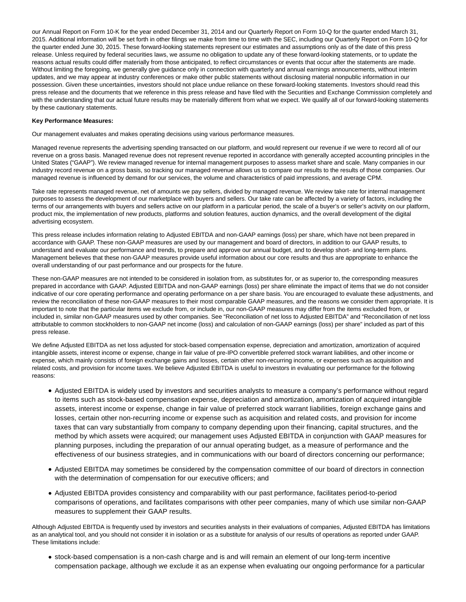our Annual Report on Form 10-K for the year ended December 31, 2014 and our Quarterly Report on Form 10-Q for the quarter ended March 31, 2015. Additional information will be set forth in other filings we make from time to time with the SEC, including our Quarterly Report on Form 10-Q for the quarter ended June 30, 2015. These forward-looking statements represent our estimates and assumptions only as of the date of this press release. Unless required by federal securities laws, we assume no obligation to update any of these forward-looking statements, or to update the reasons actual results could differ materially from those anticipated, to reflect circumstances or events that occur after the statements are made. Without limiting the foregoing, we generally give guidance only in connection with quarterly and annual earnings announcements, without interim updates, and we may appear at industry conferences or make other public statements without disclosing material nonpublic information in our possession. Given these uncertainties, investors should not place undue reliance on these forward-looking statements. Investors should read this press release and the documents that we reference in this press release and have filed with the Securities and Exchange Commission completely and with the understanding that our actual future results may be materially different from what we expect. We qualify all of our forward-looking statements by these cautionary statements.

#### **Key Performance Measures:**

Our management evaluates and makes operating decisions using various performance measures.

Managed revenue represents the advertising spending transacted on our platform, and would represent our revenue if we were to record all of our revenue on a gross basis. Managed revenue does not represent revenue reported in accordance with generally accepted accounting principles in the United States ("GAAP"). We review managed revenue for internal management purposes to assess market share and scale. Many companies in our industry record revenue on a gross basis, so tracking our managed revenue allows us to compare our results to the results of those companies. Our managed revenue is influenced by demand for our services, the volume and characteristics of paid impressions, and average CPM.

Take rate represents managed revenue, net of amounts we pay sellers, divided by managed revenue. We review take rate for internal management purposes to assess the development of our marketplace with buyers and sellers. Our take rate can be affected by a variety of factors, including the terms of our arrangements with buyers and sellers active on our platform in a particular period, the scale of a buyer's or seller's activity on our platform, product mix, the implementation of new products, platforms and solution features, auction dynamics, and the overall development of the digital advertising ecosystem.

This press release includes information relating to Adjusted EBITDA and non-GAAP earnings (loss) per share, which have not been prepared in accordance with GAAP. These non-GAAP measures are used by our management and board of directors, in addition to our GAAP results, to understand and evaluate our performance and trends, to prepare and approve our annual budget, and to develop short- and long-term plans. Management believes that these non-GAAP measures provide useful information about our core results and thus are appropriate to enhance the overall understanding of our past performance and our prospects for the future.

These non-GAAP measures are not intended to be considered in isolation from, as substitutes for, or as superior to, the corresponding measures prepared in accordance with GAAP. Adjusted EBITDA and non-GAAP earnings (loss) per share eliminate the impact of items that we do not consider indicative of our core operating performance and operating performance on a per share basis. You are encouraged to evaluate these adjustments, and review the reconciliation of these non-GAAP measures to their most comparable GAAP measures, and the reasons we consider them appropriate. It is important to note that the particular items we exclude from, or include in, our non-GAAP measures may differ from the items excluded from, or included in, similar non-GAAP measures used by other companies. See "Reconciliation of net loss to Adjusted EBITDA" and "Reconciliation of net loss attributable to common stockholders to non-GAAP net income (loss) and calculation of non-GAAP earnings (loss) per share" included as part of this press release.

We define Adjusted EBITDA as net loss adjusted for stock-based compensation expense, depreciation and amortization, amortization of acquired intangible assets, interest income or expense, change in fair value of pre-IPO convertible preferred stock warrant liabilities, and other income or expense, which mainly consists of foreign exchange gains and losses, certain other non-recurring income, or expenses such as acquisition and related costs, and provision for income taxes. We believe Adjusted EBITDA is useful to investors in evaluating our performance for the following reasons:

- Adjusted EBITDA is widely used by investors and securities analysts to measure a company's performance without regard to items such as stock-based compensation expense, depreciation and amortization, amortization of acquired intangible assets, interest income or expense, change in fair value of preferred stock warrant liabilities, foreign exchange gains and losses, certain other non-recurring income or expense such as acquisition and related costs, and provision for income taxes that can vary substantially from company to company depending upon their financing, capital structures, and the method by which assets were acquired; our management uses Adjusted EBITDA in conjunction with GAAP measures for planning purposes, including the preparation of our annual operating budget, as a measure of performance and the effectiveness of our business strategies, and in communications with our board of directors concerning our performance;
- Adjusted EBITDA may sometimes be considered by the compensation committee of our board of directors in connection with the determination of compensation for our executive officers; and
- Adjusted EBITDA provides consistency and comparability with our past performance, facilitates period-to-period comparisons of operations, and facilitates comparisons with other peer companies, many of which use similar non-GAAP measures to supplement their GAAP results.

Although Adjusted EBITDA is frequently used by investors and securities analysts in their evaluations of companies, Adjusted EBITDA has limitations as an analytical tool, and you should not consider it in isolation or as a substitute for analysis of our results of operations as reported under GAAP. These limitations include:

stock-based compensation is a non-cash charge and is and will remain an element of our long-term incentive compensation package, although we exclude it as an expense when evaluating our ongoing performance for a particular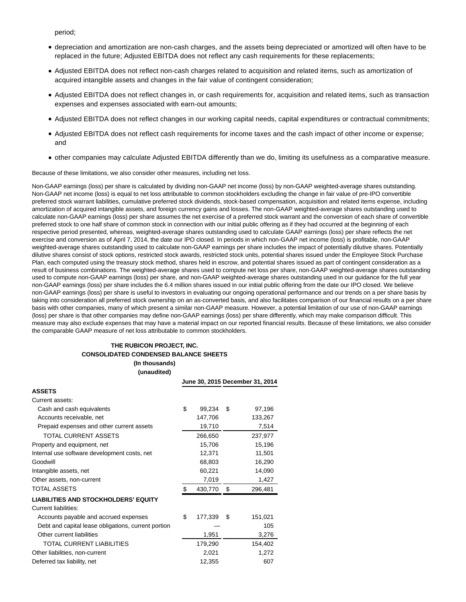period;

- depreciation and amortization are non-cash charges, and the assets being depreciated or amortized will often have to be replaced in the future; Adjusted EBITDA does not reflect any cash requirements for these replacements;
- Adjusted EBITDA does not reflect non-cash charges related to acquisition and related items, such as amortization of acquired intangible assets and changes in the fair value of contingent consideration;
- Adjusted EBITDA does not reflect changes in, or cash requirements for, acquisition and related items, such as transaction expenses and expenses associated with earn-out amounts;
- Adjusted EBITDA does not reflect changes in our working capital needs, capital expenditures or contractual commitments;
- Adjusted EBITDA does not reflect cash requirements for income taxes and the cash impact of other income or expense; and
- other companies may calculate Adjusted EBITDA differently than we do, limiting its usefulness as a comparative measure.

Because of these limitations, we also consider other measures, including net loss.

Non-GAAP earnings (loss) per share is calculated by dividing non-GAAP net income (loss) by non-GAAP weighted-average shares outstanding. Non-GAAP net income (loss) is equal to net loss attributable to common stockholders excluding the change in fair value of pre-IPO convertible preferred stock warrant liabilities, cumulative preferred stock dividends, stock-based compensation, acquisition and related items expense, including amortization of acquired intangible assets, and foreign currency gains and losses. The non-GAAP weighted-average shares outstanding used to calculate non-GAAP earnings (loss) per share assumes the net exercise of a preferred stock warrant and the conversion of each share of convertible preferred stock to one half share of common stock in connection with our initial public offering as if they had occurred at the beginning of each respective period presented, whereas, weighted-average shares outstanding used to calculate GAAP earnings (loss) per share reflects the net exercise and conversion as of April 7, 2014, the date our IPO closed. In periods in which non-GAAP net income (loss) is profitable, non-GAAP weighted-average shares outstanding used to calculate non-GAAP earnings per share includes the impact of potentially dilutive shares. Potentially dilutive shares consist of stock options, restricted stock awards, restricted stock units, potential shares issued under the Employee Stock Purchase Plan, each computed using the treasury stock method, shares held in escrow, and potential shares issued as part of contingent consideration as a result of business combinations. The weighted-average shares used to compute net loss per share, non-GAAP weighted-average shares outstanding used to compute non-GAAP earnings (loss) per share, and non-GAAP weighted-average shares outstanding used in our guidance for the full year non-GAAP earnings (loss) per share includes the 6.4 million shares issued in our initial public offering from the date our IPO closed. We believe non-GAAP earnings (loss) per share is useful to investors in evaluating our ongoing operational performance and our trends on a per share basis by taking into consideration all preferred stock ownership on an as-converted basis, and also facilitates comparison of our financial results on a per share basis with other companies, many of which present a similar non-GAAP measure. However, a potential limitation of our use of non-GAAP earnings (loss) per share is that other companies may define non-GAAP earnings (loss) per share differently, which may make comparison difficult. This measure may also exclude expenses that may have a material impact on our reported financial results. Because of these limitations, we also consider the comparable GAAP measure of net loss attributable to common stockholders.

## **THE RUBICON PROJECT, INC. CONSOLIDATED CONDENSED BALANCE SHEETS (In thousands) (unaudited)**

|                                                     |               | June 30, 2015 December 31, 2014 |
|-----------------------------------------------------|---------------|---------------------------------|
| <b>ASSETS</b>                                       |               |                                 |
| Current assets:                                     |               |                                 |
| Cash and cash equivalents                           | \$<br>99,234  | \$<br>97,196                    |
| Accounts receivable, net                            | 147,706       | 133,267                         |
| Prepaid expenses and other current assets           | 19,710        | 7,514                           |
| TOTAL CURRENT ASSETS                                | 266,650       | 237,977                         |
| Property and equipment, net                         | 15,706        | 15,196                          |
| Internal use software development costs, net        | 12,371        | 11,501                          |
| Goodwill                                            | 68,803        | 16,290                          |
| Intangible assets, net                              | 60,221        | 14,090                          |
| Other assets, non-current                           | 7,019         | 1,427                           |
| <b>TOTAL ASSETS</b>                                 | \$<br>430,770 | \$<br>296,481                   |
| <b>LIABILITIES AND STOCKHOLDERS' EQUITY</b>         |               |                                 |
| <b>Current liabilities:</b>                         |               |                                 |
| Accounts payable and accrued expenses               | \$<br>177,339 | \$<br>151,021                   |
| Debt and capital lease obligations, current portion |               | 105                             |
| Other current liabilities                           | 1,951         | 3,276                           |
| TOTAL CURRENT LIABILITIES                           | 179,290       | 154,402                         |
| Other liabilities, non-current                      | 2,021         | 1,272                           |
| Deferred tax liability, net                         | 12,355        | 607                             |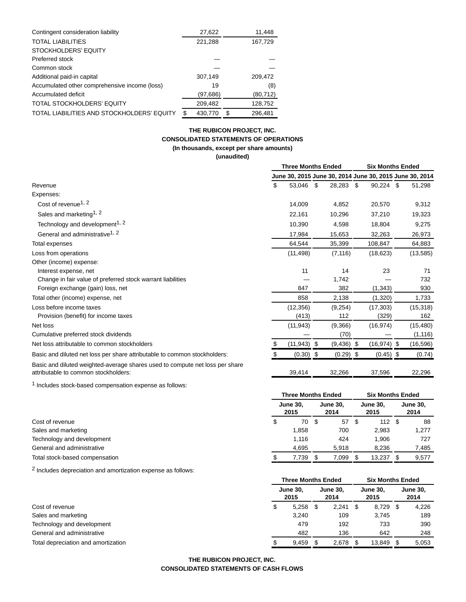| Contingent consideration liability            |    | 27,622   |   | 11,448    |
|-----------------------------------------------|----|----------|---|-----------|
| <b>TOTAL LIABILITIES</b>                      |    | 221,288  |   | 167,729   |
| STOCKHOLDERS' EQUITY                          |    |          |   |           |
| Preferred stock                               |    |          |   |           |
| Common stock                                  |    |          |   |           |
| Additional paid-in capital                    |    | 307.149  |   | 209,472   |
| Accumulated other comprehensive income (loss) |    | 19       |   | (8)       |
| Accumulated deficit                           |    | (97,686) |   | (80, 712) |
| TOTAL STOCKHOLDERS' EQUITY                    |    | 209,482  |   | 128,752   |
| TOTAL LIABILITIES AND STOCKHOLDERS' EQUITY    | S. | 430.770  | ደ | 296,481   |

# **THE RUBICON PROJECT, INC. CONSOLIDATED STATEMENTS OF OPERATIONS (In thousands, except per share amounts)**

**(unaudited)**

|                                                                                                                      | <b>Three Months Ended</b> |                |  | <b>Six Months Ended</b> |  |                                                         |  |           |
|----------------------------------------------------------------------------------------------------------------------|---------------------------|----------------|--|-------------------------|--|---------------------------------------------------------|--|-----------|
|                                                                                                                      |                           |                |  |                         |  | June 30, 2015 June 30, 2014 June 30, 2015 June 30, 2014 |  |           |
| Revenue                                                                                                              | \$                        | 53,046 \$      |  | 28,283 \$               |  | 90,224 \$                                               |  | 51,298    |
| Expenses:                                                                                                            |                           |                |  |                         |  |                                                         |  |           |
| Cost of revenue <sup>1, 2</sup>                                                                                      |                           | 14,009         |  | 4,852                   |  | 20,570                                                  |  | 9,312     |
| Sales and marketing <sup>1, 2</sup>                                                                                  |                           | 22,161         |  | 10,296                  |  | 37,210                                                  |  | 19,323    |
| Technology and development <sup>1, 2</sup>                                                                           |                           | 10,390         |  | 4,598                   |  | 18,804                                                  |  | 9,275     |
| General and administrative <sup>1, 2</sup>                                                                           |                           | 17,984         |  | 15,653                  |  | 32,263                                                  |  | 26,973    |
| Total expenses                                                                                                       |                           | 64,544         |  | 35,399                  |  | 108,847                                                 |  | 64,883    |
| Loss from operations                                                                                                 |                           | (11, 498)      |  | (7, 116)                |  | (18, 623)                                               |  | (13, 585) |
| Other (income) expense:                                                                                              |                           |                |  |                         |  |                                                         |  |           |
| Interest expense, net                                                                                                |                           | 11             |  | 14                      |  | 23                                                      |  | 71        |
| Change in fair value of preferred stock warrant liabilities                                                          |                           |                |  | 1,742                   |  |                                                         |  | 732       |
| Foreign exchange (gain) loss, net                                                                                    |                           | 847            |  | 382                     |  | (1, 343)                                                |  | 930       |
| Total other (income) expense, net                                                                                    |                           | 858            |  | 2,138                   |  | (1,320)                                                 |  | 1,733     |
| Loss before income taxes                                                                                             |                           | (12, 356)      |  | (9,254)                 |  | (17, 303)                                               |  | (15, 318) |
| Provision (benefit) for income taxes                                                                                 |                           | (413)          |  | 112                     |  | (329)                                                   |  | 162       |
| Net loss                                                                                                             |                           | (11, 943)      |  | (9,366)                 |  | (16, 974)                                               |  | (15, 480) |
| Cumulative preferred stock dividends                                                                                 |                           |                |  | (70)                    |  |                                                         |  | (1, 116)  |
| Net loss attributable to common stockholders                                                                         |                           | $(11, 943)$ \$ |  | $(9,436)$ \$            |  | $(16, 974)$ \$                                          |  | (16, 596) |
| Basic and diluted net loss per share attributable to common stockholders:                                            |                           | $(0.30)$ \$    |  | $(0.29)$ \$             |  | $(0.45)$ \$                                             |  | (0.74)    |
| Basic and diluted weighted-average shares used to compute net loss per share<br>attributable to common stockholders: |                           | 39,414         |  | 32,266                  |  | 37,596                                                  |  | 22,296    |
|                                                                                                                      |                           |                |  |                         |  |                                                         |  |           |

1 Includes stock-based compensation expense as follows:

|                                | <b>June 30,</b><br>2015 | <b>June 30.</b><br>2014 |  | <b>June 30.</b><br>2015 |  | <b>June 30,</b><br>2014 |
|--------------------------------|-------------------------|-------------------------|--|-------------------------|--|-------------------------|
| Cost of revenue                | 70 \$                   | 57                      |  | 112                     |  | 88                      |
| Sales and marketing            | 1,858                   | 700                     |  | 2,983                   |  | 1,277                   |
| Technology and development     | 1.116                   | 424                     |  | 1.906                   |  | 727                     |
| General and administrative     | 4.695                   | 5.918                   |  | 8.236                   |  | 7,485                   |
| Total stock-based compensation | 7,739                   | 7,099                   |  | 13,237                  |  | 9,577                   |

**Three Months Ended Six Months Ended**

2 Includes depreciation and amortization expense as follows:

|                                     | <b>Three Months Ended</b> |  | <b>Six Months Ended</b> |                         |                         |       |
|-------------------------------------|---------------------------|--|-------------------------|-------------------------|-------------------------|-------|
|                                     | <b>June 30.</b><br>2015   |  | <b>June 30.</b><br>2014 | <b>June 30.</b><br>2015 | <b>June 30.</b><br>2014 |       |
| Cost of revenue                     | 5,258                     |  | 2.241                   | 8,729                   |                         | 4,226 |
| Sales and marketing                 | 3.240                     |  | 109                     | 3.745                   |                         | 189   |
| Technology and development          | 479                       |  | 192                     | 733                     |                         | 390   |
| General and administrative          | 482                       |  | 136                     | 642                     |                         | 248   |
| Total depreciation and amortization | 9,459                     |  | 2.678                   | 13.849                  |                         | 5,053 |

**THE RUBICON PROJECT, INC. CONSOLIDATED STATEMENTS OF CASH FLOWS**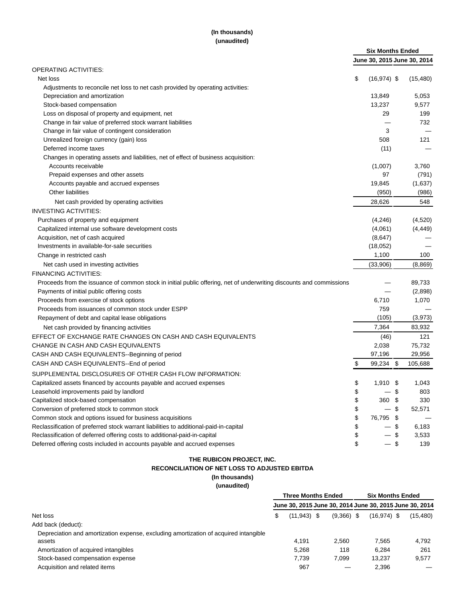# **(In thousands) (unaudited)**

|                                                                                                                      | <b>Six Months Ended</b>     |      |           |
|----------------------------------------------------------------------------------------------------------------------|-----------------------------|------|-----------|
|                                                                                                                      | June 30, 2015 June 30, 2014 |      |           |
| OPERATING ACTIVITIES:                                                                                                |                             |      |           |
| Net loss                                                                                                             | \$<br>$(16, 974)$ \$        |      | (15, 480) |
| Adjustments to reconcile net loss to net cash provided by operating activities:                                      |                             |      |           |
| Depreciation and amortization                                                                                        | 13,849                      |      | 5,053     |
| Stock-based compensation                                                                                             | 13,237                      |      | 9,577     |
| Loss on disposal of property and equipment, net                                                                      | 29                          |      | 199       |
| Change in fair value of preferred stock warrant liabilities                                                          |                             |      | 732       |
| Change in fair value of contingent consideration                                                                     | 3                           |      |           |
| Unrealized foreign currency (gain) loss                                                                              | 508                         |      | 121       |
| Deferred income taxes                                                                                                | (11)                        |      |           |
| Changes in operating assets and liabilities, net of effect of business acquisition:                                  |                             |      |           |
| Accounts receivable                                                                                                  | (1,007)                     |      | 3,760     |
| Prepaid expenses and other assets                                                                                    | 97                          |      | (791)     |
| Accounts payable and accrued expenses                                                                                | 19,845                      |      | (1,637)   |
| <b>Other liabilities</b>                                                                                             | (950)                       |      | (986)     |
| Net cash provided by operating activities                                                                            | 28,626                      |      | 548       |
| <b>INVESTING ACTIVITIES:</b>                                                                                         |                             |      |           |
| Purchases of property and equipment                                                                                  | (4,246)                     |      | (4,520)   |
| Capitalized internal use software development costs                                                                  | (4,061)                     |      | (4, 449)  |
| Acquisition, net of cash acquired                                                                                    | (8,647)                     |      |           |
| Investments in available-for-sale securities                                                                         | (18,052)                    |      |           |
| Change in restricted cash                                                                                            | 1,100                       |      | 100       |
| Net cash used in investing activities                                                                                | (33,906)                    |      | (8,869)   |
| <b>FINANCING ACTIVITIES:</b>                                                                                         |                             |      |           |
| Proceeds from the issuance of common stock in initial public offering, net of underwriting discounts and commissions |                             |      | 89,733    |
| Payments of initial public offering costs                                                                            |                             |      | (2,898)   |
| Proceeds from exercise of stock options                                                                              | 6,710                       |      | 1,070     |
| Proceeds from issuances of common stock under ESPP                                                                   | 759                         |      |           |
| Repayment of debt and capital lease obligations                                                                      | (105)                       |      | (3,973)   |
| Net cash provided by financing activities                                                                            | 7,364                       |      | 83,932    |
| EFFECT OF EXCHANGE RATE CHANGES ON CASH AND CASH EQUIVALENTS                                                         | (46)                        |      | 121       |
| CHANGE IN CASH AND CASH EQUIVALENTS                                                                                  | 2,038                       |      | 75,732    |
| CASH AND CASH EQUIVALENTS--Beginning of period                                                                       | 97,196                      |      | 29,956    |
| CASH AND CASH EQUIVALENTS--End of period                                                                             | \$<br>99,234 \$             |      | 105,688   |
| SUPPLEMENTAL DISCLOSURES OF OTHER CASH FLOW INFORMATION:                                                             |                             |      |           |
| Capitalized assets financed by accounts payable and accrued expenses                                                 | \$<br>$1,910$ \$            |      | 1,043     |
| Leasehold improvements paid by landlord                                                                              | \$<br>— \$                  |      | 803       |
| Capitalized stock-based compensation                                                                                 | \$<br>360                   | - \$ | 330       |
| Conversion of preferred stock to common stock                                                                        | \$<br>— \$                  |      | 52,571    |
| Common stock and options issued for business acquisitions                                                            | \$<br>76,795 \$             |      |           |
| Reclassification of preferred stock warrant liabilities to additional-paid-in-capital                                | \$                          | \$   | 6,183     |
| Reclassification of deferred offering costs to additional-paid-in-capital                                            | \$                          | \$   | 3,533     |
| Deferred offering costs included in accounts payable and accrued expenses                                            | \$<br>— \$                  |      | 139       |

# **THE RUBICON PROJECT, INC. RECONCILIATION OF NET LOSS TO ADJUSTED EBITDA (In thousands) (unaudited)**

| <b>Three Months Ended</b> |       |  |               |  |              |                                                                                                                                          |
|---------------------------|-------|--|---------------|--|--------------|------------------------------------------------------------------------------------------------------------------------------------------|
|                           |       |  |               |  |              |                                                                                                                                          |
| \$                        |       |  |               |  |              | (15,480)                                                                                                                                 |
|                           |       |  |               |  |              |                                                                                                                                          |
|                           |       |  |               |  |              |                                                                                                                                          |
|                           | 4.191 |  | 2.560         |  |              | 4.792                                                                                                                                    |
|                           | 5.268 |  | 118           |  |              | 261                                                                                                                                      |
|                           | 7.739 |  | 7.099         |  |              | 9.577                                                                                                                                    |
|                           | 967   |  |               |  |              |                                                                                                                                          |
|                           |       |  | $(11,943)$ \$ |  | $(9,366)$ \$ | <b>Six Months Ended</b><br>June 30, 2015 June 30, 2014 June 30, 2015 June 30, 2014<br>$(16.974)$ \$<br>7.565<br>6.284<br>13.237<br>2,396 |